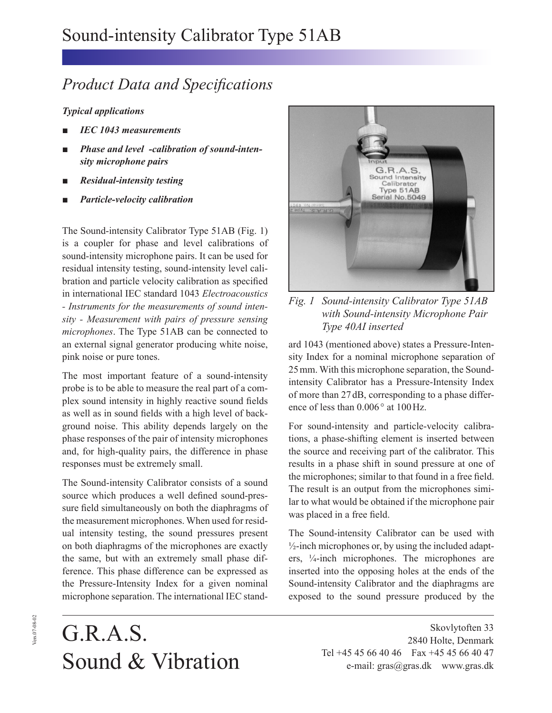## *Product Data and Specifications*

## *Typical applications*

- *IEC 1043 measurements*
- *Phase and level -calibration of sound-intensity microphone pairs*
- *Residual-intensity testing*
- *Particle-velocity calibration*

The Sound-intensity Calibrator Type 51AB (Fig. 1) is a coupler for phase and level calibrations of sound-intensity microphone pairs. It can be used for residual intensity testing, sound-intensity level calibration and particle velocity calibration as specified in international IEC standard 1043 *Electroacoustics - Instruments for the measurements of sound intensity - Measurement with pairs of pressure sensing microphones*. The Type 51AB can be connected to an external signal generator producing white noise, pink noise or pure tones.

The most important feature of a sound-intensity probe is to be able to measure the real part of a complex sound intensity in highly reactive sound fields as well as in sound fields with a high level of background noise. This ability depends largely on the phase responses of the pair of intensity microphones and, for high-quality pairs, the difference in phase responses must be extremely small.

The Sound-intensity Calibrator consists of a sound source which produces a well defined sound-pressure field simultaneously on both the diaphragms of the measurement microphones. When used for residual intensity testing, the sound pressures present on both diaphragms of the microphones are exactly the same, but with an extremely small phase difference. This phase difference can be expressed as the Pressure-Intensity Index for a given nominal microphone separation. The international IEC stand-



*Fig. 1 Sound-intensity Calibrator Type 51AB with Sound-intensity Microphone Pair Type 40AI inserted*

ard 1043 (mentioned above) states a Pressure-Intensity Index for a nominal microphone separation of 25 mm. With this microphone separation, the Soundintensity Calibrator has a Pressure-Intensity Index of more than 27 dB, corresponding to a phase difference of less than  $0.006^{\circ}$  at  $100 \text{ Hz}$ .

For sound-intensity and particle-velocity calibrations, a phase-shifting element is inserted between the source and receiving part of the calibrator. This results in a phase shift in sound pressure at one of the microphones; similar to that found in a free field. The result is an output from the microphones similar to what would be obtained if the microphone pair was placed in a free field.

The Sound-intensity Calibrator can be used with  $\frac{1}{2}$ -inch microphones or, by using the included adapters, 1⁄4-inch microphones. The microphones are inserted into the opposing holes at the ends of the Sound-intensity Calibrator and the diaphragms are exposed to the sound pressure produced by the

## G.R.A.S. Sound & Vibration

Skovlytoften 33 2840 Holte, Denmark Tel +45 45 66 40 46 Fax +45 45 66 40 47 e-mail: gras@gras.dk www.gras.dk